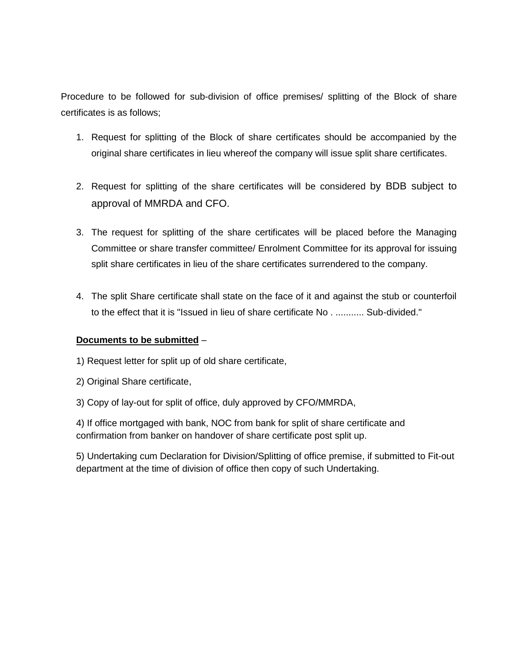Procedure to be followed for sub-division of office premises/ splitting of the Block of share certificates is as follows;

- 1. Request for splitting of the Block of share certificates should be accompanied by the original share certificates in lieu whereof the company will issue split share certificates.
- 2. Request for splitting of the share certificates will be considered by BDB subject to approval of MMRDA and CFO.
- 3. The request for splitting of the share certificates will be placed before the Managing Committee or share transfer committee/ Enrolment Committee for its approval for issuing split share certificates in lieu of the share certificates surrendered to the company.
- 4. The split Share certificate shall state on the face of it and against the stub or counterfoil to the effect that it is "Issued in lieu of share certificate No . ........... Sub-divided."

## **Documents to be submitted** –

- 1) Request letter for split up of old share certificate,
- 2) Original Share certificate,
- 3) Copy of lay-out for split of office, duly approved by CFO/MMRDA,

4) If office mortgaged with bank, NOC from bank for split of share certificate and confirmation from banker on handover of share certificate post split up.

5) Undertaking cum Declaration for Division/Splitting of office premise, if submitted to Fit-out department at the time of division of office then copy of such Undertaking.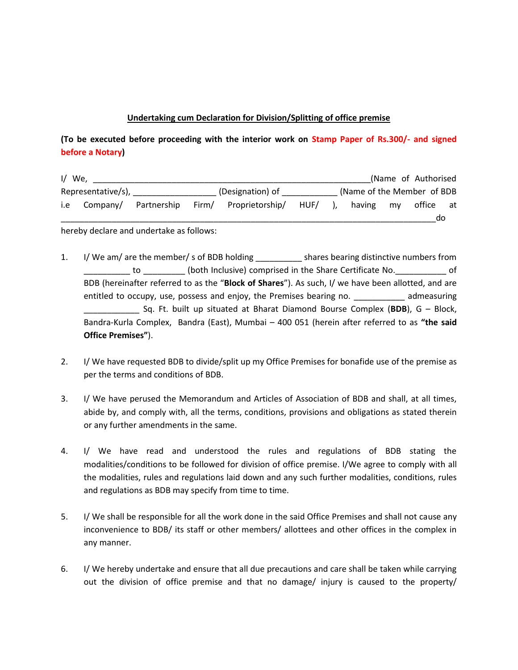## **Undertaking cum Declaration for Division/Splitting of office premise**

## **(To be executed before proceeding with the interior work on Stamp Paper of Rs.300/- and signed before a Notary)**

| $1/$ We, |                    |             |       |                  |      |                            |    | (Name of Authorised |    |
|----------|--------------------|-------------|-------|------------------|------|----------------------------|----|---------------------|----|
|          | Representative/s), |             |       | (Designation) of |      | (Name of the Member of BDB |    |                     |    |
| i.e      | Company/           | Partnership | Firm/ | Proprietorship/  | HUF/ | having                     | mv | office              | at |
|          |                    |             |       |                  |      |                            |    | do                  |    |

hereby declare and undertake as follows:

- 1. I/ We am/ are the member/ s of BDB holding \_\_\_\_\_\_\_\_\_\_\_ shares bearing distinctive numbers from \_\_\_\_\_\_\_\_\_\_ to \_\_\_\_\_\_\_\_\_ (both Inclusive) comprised in the Share Certificate No.\_\_\_\_\_\_\_\_\_\_\_ of BDB (hereinafter referred to as the "**Block of Shares**"). As such, I/ we have been allotted, and are entitled to occupy, use, possess and enjoy, the Premises bearing no. \_\_\_\_\_\_\_\_\_\_\_ admeasuring \_\_\_\_\_\_\_\_\_\_\_\_ Sq. Ft. built up situated at Bharat Diamond Bourse Complex (**BDB**), G – Block, Bandra-Kurla Complex, Bandra (East), Mumbai – 400 051 (herein after referred to as **"the said Office Premises"**).
- 2. I/ We have requested BDB to divide/split up my Office Premises for bonafide use of the premise as per the terms and conditions of BDB.
- 3. I/ We have perused the Memorandum and Articles of Association of BDB and shall, at all times, abide by, and comply with, all the terms, conditions, provisions and obligations as stated therein or any further amendments in the same.
- 4. I/ We have read and understood the rules and regulations of BDB stating the modalities/conditions to be followed for division of office premise. I/We agree to comply with all the modalities, rules and regulations laid down and any such further modalities, conditions, rules and regulations as BDB may specify from time to time.
- 5. I/ We shall be responsible for all the work done in the said Office Premises and shall not cause any inconvenience to BDB/ its staff or other members/ allottees and other offices in the complex in any manner.
- 6. I/ We hereby undertake and ensure that all due precautions and care shall be taken while carrying out the division of office premise and that no damage/ injury is caused to the property/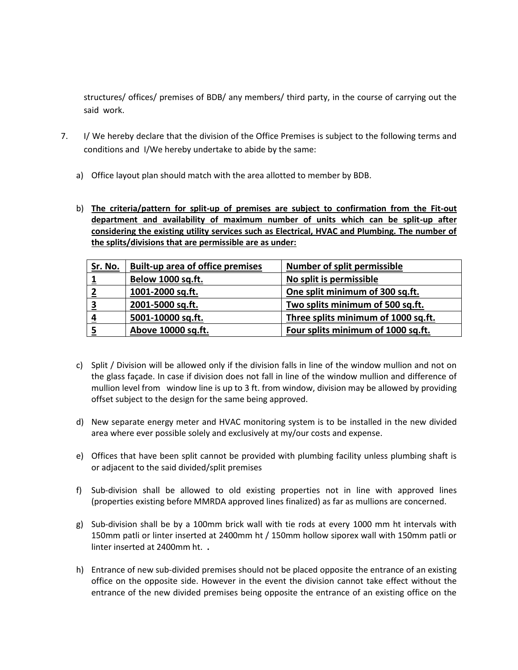structures/ offices/ premises of BDB/ any members/ third party, in the course of carrying out the said work.

- 7. I/ We hereby declare that the division of the Office Premises is subject to the following terms and conditions and I/We hereby undertake to abide by the same:
	- a) Office layout plan should match with the area allotted to member by BDB.
	- b) **The criteria/pattern for split-up of premises are subject to confirmation from the Fit-out department and availability of maximum number of units which can be split-up after considering the existing utility services such as Electrical, HVAC and Plumbing. The number of the splits/divisions that are permissible are as under:**

| <b>Sr. No.</b> | <b>Built-up area of office premises</b> | <b>Number of split permissible</b>  |
|----------------|-----------------------------------------|-------------------------------------|
|                | Below 1000 sq.ft.                       | No split is permissible             |
|                | 1001-2000 sq.ft.                        | One split minimum of 300 sq.ft.     |
| З              | 2001-5000 sq.ft.                        | Two splits minimum of 500 sq.ft.    |
| 4              | 5001-10000 sq.ft.                       | Three splits minimum of 1000 sq.ft. |
|                | Above 10000 sq.ft.                      | Four splits minimum of 1000 sq.ft.  |

- c) Split / Division will be allowed only if the division falls in line of the window mullion and not on the glass façade. In case if division does not fall in line of the window mullion and difference of mullion level from window line is up to 3 ft. from window, division may be allowed by providing offset subject to the design for the same being approved.
- d) New separate energy meter and HVAC monitoring system is to be installed in the new divided area where ever possible solely and exclusively at my/our costs and expense.
- e) Offices that have been split cannot be provided with plumbing facility unless plumbing shaft is or adjacent to the said divided/split premises
- f) Sub-division shall be allowed to old existing properties not in line with approved lines (properties existing before MMRDA approved lines finalized) as far as mullions are concerned.
- g) Sub-division shall be by a 100mm brick wall with tie rods at every 1000 mm ht intervals with 150mm patli or linter inserted at 2400mm ht / 150mm hollow siporex wall with 150mm patli or linter inserted at 2400mm ht. **.**
- h) Entrance of new sub-divided premises should not be placed opposite the entrance of an existing office on the opposite side. However in the event the division cannot take effect without the entrance of the new divided premises being opposite the entrance of an existing office on the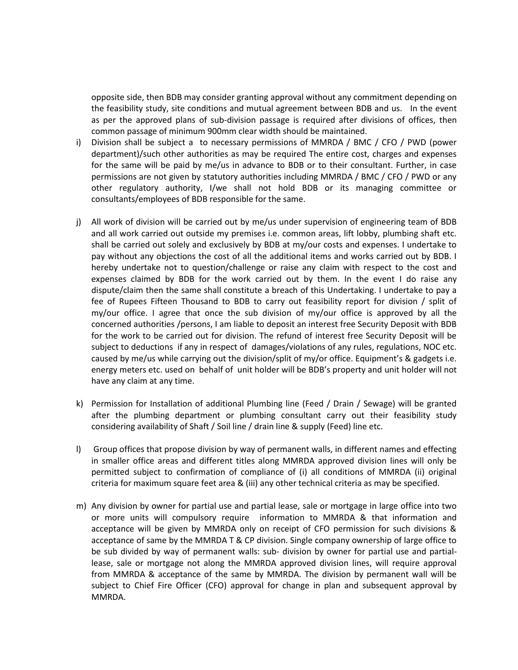opposite side, then BDB may consider granting approval without any commitment depending on the feasibility study, site conditions and mutual agreement between BDB and us. In the event as per the approved plans of sub-division passage is required after divisions of offices, then common passage of minimum 900mm clear width should be maintained.

- i) Division shall be subject a to necessary permissions of MMRDA / BMC / CFO / PWD (power department)/such other authorities as may be required The entire cost, charges and expenses for the same will be paid by me/us in advance to BDB or to their consultant. Further, in case permissions are not given by statutory authorities including MMRDA / BMC / CFO / PWD or any other regulatory authority, I/we shall not hold BDB or its managing committee or consultants/employees of BDB responsible for the same.
- j) All work of division will be carried out by me/us under supervision of engineering team of BDB and all work carried out outside my premises i.e. common areas, lift lobby, plumbing shaft etc. shall be carried out solely and exclusively by BDB at my/our costs and expenses. I undertake to pay without any objections the cost of all the additional items and works carried out by BDB. I hereby undertake not to question/challenge or raise any claim with respect to the cost and expenses claimed by BDB for the work carried out by them. In the event I do raise any dispute/claim then the same shall constitute a breach of this Undertaking. I undertake to pay a fee of Rupees Fifteen Thousand to BDB to carry out feasibility report for division / split of my/our office. I agree that once the sub division of my/our office is approved by all the concerned authorities /persons, I am liable to deposit an interest free Security Deposit with BDB for the work to be carried out for division. The refund of interest free Security Deposit will be subject to deductions if any in respect of damages/violations of any rules, regulations, NOC etc. caused by me/us while carrying out the division/split of my/or office. Equipment's & gadgets i.e. energy meters etc. used on behalf of unit holder will be BDB's property and unit holder will not have any claim at any time.
- k) Permission for Installation of additional Plumbing line (Feed / Drain / Sewage) will be granted after the plumbing department or plumbing consultant carry out their feasibility study considering availability of Shaft / Soil line / drain line & supply (Feed) line etc.
- l) Group offices that propose division by way of permanent walls, in different names and effecting in smaller office areas and different titles along MMRDA approved division lines will only be permitted subject to confirmation of compliance of (i) all conditions of MMRDA (ii) original criteria for maximum square feet area & (iii) any other technical criteria as may be specified.
- m) Any division by owner for partial use and partial lease, sale or mortgage in large office into two or more units will compulsory require information to MMRDA & that information and acceptance will be given by MMRDA only on receipt of CFO permission for such divisions & acceptance of same by the MMRDA T & CP division. Single company ownership of large office to be sub divided by way of permanent walls: sub- division by owner for partial use and partiallease, sale or mortgage not along the MMRDA approved division lines, will require approval from MMRDA & acceptance of the same by MMRDA. The division by permanent wall will be subject to Chief Fire Officer (CFO) approval for change in plan and subsequent approval by MMRDA.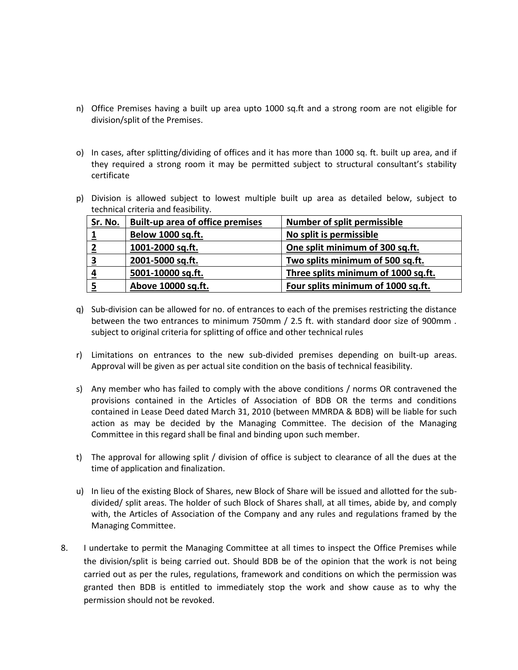- n) Office Premises having a built up area upto 1000 sq.ft and a strong room are not eligible for division/split of the Premises.
- o) In cases, after splitting/dividing of offices and it has more than 1000 sq. ft. built up area, and if they required a strong room it may be permitted subject to structural consultant's stability certificate
- p) Division is allowed subject to lowest multiple built up area as detailed below, subject to technical criteria and feasibility.

| <u>Sr. No.</u> | <b>Built-up area of office premises</b> | <b>Number of split permissible</b>  |
|----------------|-----------------------------------------|-------------------------------------|
|                | Below 1000 sq.ft.                       | No split is permissible             |
|                | 1001-2000 sq.ft.                        | One split minimum of 300 sq.ft.     |
| 3              | 2001-5000 sq.ft.                        | Two splits minimum of 500 sq.ft.    |
| 4              | 5001-10000 sq.ft.                       | Three splits minimum of 1000 sq.ft. |
|                | Above 10000 sq.ft.                      | Four splits minimum of 1000 sq.ft.  |

- q) Sub-division can be allowed for no. of entrances to each of the premises restricting the distance between the two entrances to minimum 750mm / 2.5 ft. with standard door size of 900mm . subject to original criteria for splitting of office and other technical rules
- r) Limitations on entrances to the new sub-divided premises depending on built-up areas. Approval will be given as per actual site condition on the basis of technical feasibility.
- s) Any member who has failed to comply with the above conditions / norms OR contravened the provisions contained in the Articles of Association of BDB OR the terms and conditions contained in Lease Deed dated March 31, 2010 (between MMRDA & BDB) will be liable for such action as may be decided by the Managing Committee. The decision of the Managing Committee in this regard shall be final and binding upon such member.
- t) The approval for allowing split / division of office is subject to clearance of all the dues at the time of application and finalization.
- u) In lieu of the existing Block of Shares, new Block of Share will be issued and allotted for the subdivided/ split areas. The holder of such Block of Shares shall, at all times, abide by, and comply with, the Articles of Association of the Company and any rules and regulations framed by the Managing Committee.
- 8. I undertake to permit the Managing Committee at all times to inspect the Office Premises while the division/split is being carried out. Should BDB be of the opinion that the work is not being carried out as per the rules, regulations, framework and conditions on which the permission was granted then BDB is entitled to immediately stop the work and show cause as to why the permission should not be revoked.